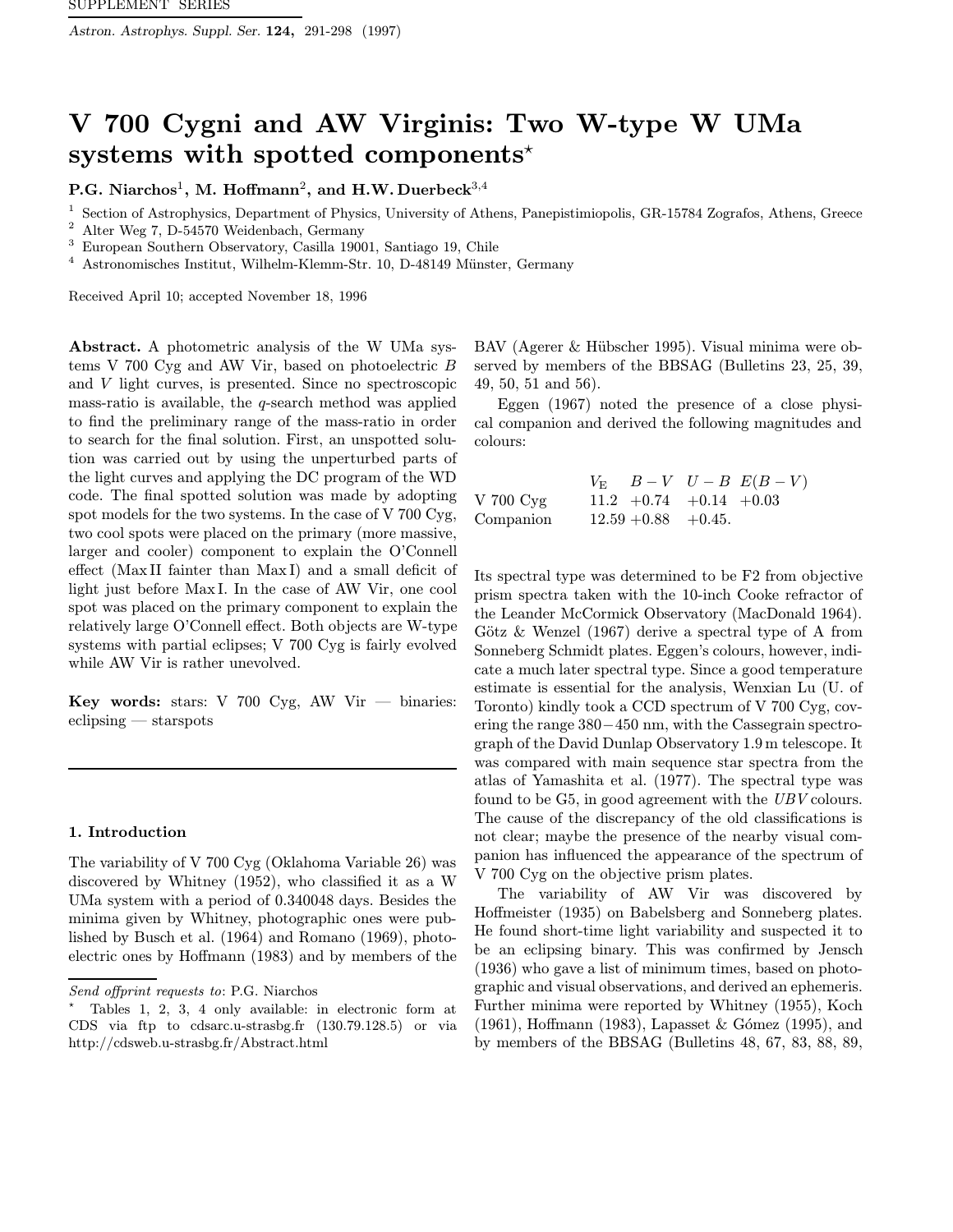Astron. Astrophys. Suppl. Ser. 124, 291-298 (1997)

# V 700 Cygni and AW Virginis: Two W-type W UMa systems with spotted components<sup>\*</sup>

P.G. Niarchos<sup>1</sup>, M. Hoffmann<sup>2</sup>, and H.W. Duerbeck<sup>3,4</sup>

<sup>1</sup> Section of Astrophysics, Department of Physics, University of Athens, Panepistimiopolis, GR-15784 Zografos, Athens, Greece<br><sup>2</sup> Alter Wer Z, D.54570 Weidenback, Germany

<sup>2</sup> Alter Weg 7, D-54570 Weidenbach, Germany

<sup>3</sup> European Southern Observatory, Casilla 19001, Santiago 19, Chile

 $4$  Astronomisches Institut, Wilhelm-Klemm-Str. 10, D-48149 Münster, Germany

Received April 10; accepted November 18, 1996

Abstract. A photometric analysis of the W UMa systems V 700 Cyg and AW Vir, based on photoelectric B and V light curves, is presented. Since no spectroscopic mass-ratio is available, the q-search method was applied to find the preliminary range of the mass-ratio in order to search for the final solution. First, an unspotted solution was carried out by using the unperturbed parts of the light curves and applying the DC program of the WD code. The final spotted solution was made by adopting spot models for the two systems. In the case of V 700 Cyg, two cool spots were placed on the primary (more massive, larger and cooler) component to explain the O'Connell effect (Max II fainter than Max I) and a small deficit of light just before Max I. In the case of AW Vir, one cool spot was placed on the primary component to explain the relatively large O'Connell effect. Both objects are W-type systems with partial eclipses; V 700 Cyg is fairly evolved while AW Vir is rather unevolved.

Key words: stars: V 700 Cyg, AW Vir  $-$  binaries: eclipsing — starspots

#### 1. Introduction

The variability of V 700 Cyg (Oklahoma Variable 26) was discovered by Whitney (1952), who classified it as a W UMa system with a period of 0.340048 days. Besides the minima given by Whitney, photographic ones were published by Busch et al. (1964) and Romano (1969), photoelectric ones by Hoffmann (1983) and by members of the

BAV (Agerer & Hübscher 1995). Visual minima were observed by members of the BBSAG (Bulletins 23, 25, 39, 49, 50, 51 and 56).

Eggen (1967) noted the presence of a close physical companion and derived the following magnitudes and colours:

|             |                          | $V_{\rm E}$ $B-V$ $U-B$ $E(B-V)$ |
|-------------|--------------------------|----------------------------------|
| V 700 $Cyg$ | $11.2 +0.74 +0.14 +0.03$ |                                  |
| Companion   | $12.59 + 0.88 + 0.45$ .  |                                  |

Its spectral type was determined to be F2 from objective prism spectra taken with the 10-inch Cooke refractor of the Leander McCormick Observatory (MacDonald 1964). Götz  $\&$  Wenzel (1967) derive a spectral type of A from Sonneberg Schmidt plates. Eggen's colours, however, indicate a much later spectral type. Since a good temperature estimate is essential for the analysis, Wenxian Lu (U. of Toronto) kindly took a CCD spectrum of V 700 Cyg, covering the range 380−450 nm, with the Cassegrain spectrograph of the David Dunlap Observatory 1.9m telescope. It was compared with main sequence star spectra from the atlas of Yamashita et al. (1977). The spectral type was found to be G5, in good agreement with the UBV colours. The cause of the discrepancy of the old classifications is not clear; maybe the presence of the nearby visual companion has influenced the appearance of the spectrum of V 700 Cyg on the objective prism plates.

The variability of AW Vir was discovered by Hoffmeister (1935) on Babelsberg and Sonneberg plates. He found short-time light variability and suspected it to be an eclipsing binary. This was confirmed by Jensch (1936) who gave a list of minimum times, based on photographic and visual observations, and derived an ephemeris. Further minima were reported by Whitney (1955), Koch (1961), Hoffmann (1983), Lapasset & Gómez (1995), and by members of the BBSAG (Bulletins 48, 67, 83, 88, 89,

Send offprint requests to: P.G. Niarchos

<sup>?</sup> Tables 1, 2, 3, 4 only available: in electronic form at CDS via ftp to cdsarc.u-strasbg.fr (130.79.128.5) or via http://cdsweb.u-strasbg.fr/Abstract.html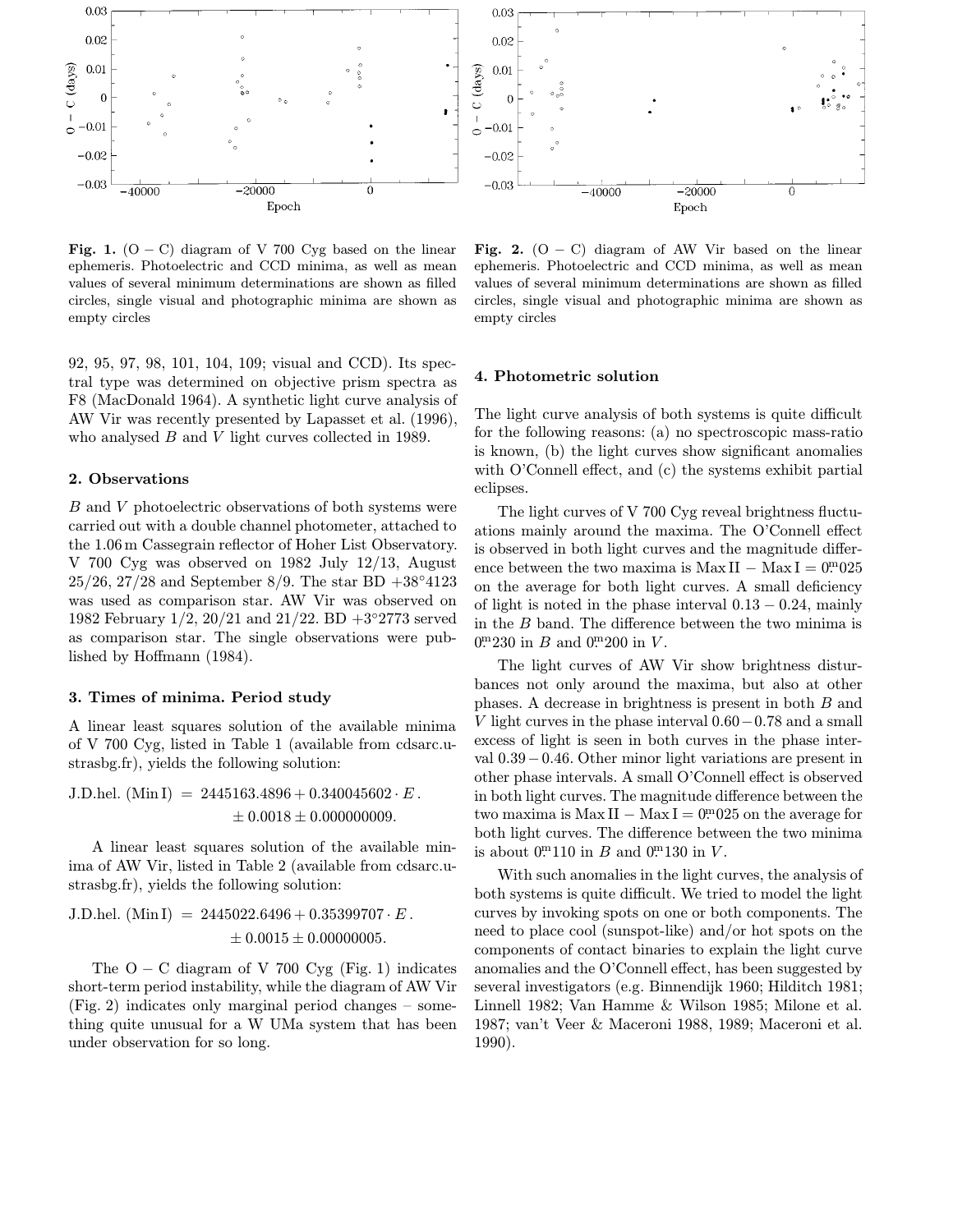

Fig. 1.  $(O - C)$  diagram of V 700 Cyg based on the linear ephemeris. Photoelectric and CCD minima, as well as mean values of several minimum determinations are shown as filled circles, single visual and photographic minima are shown as empty circles

92, 95, 97, 98, 101, 104, 109; visual and CCD). Its spectral type was determined on objective prism spectra as F8 (MacDonald 1964). A synthetic light curve analysis of AW Vir was recently presented by Lapasset et al. (1996), who analysed B and V light curves collected in 1989.

### 2. Observations

B and V photoelectric observations of both systems were carried out with a double channel photometer, attached to the 1.06m Cassegrain reflector of Hoher List Observatory. V 700 Cyg was observed on 1982 July 12/13, August  $25/26$ ,  $27/28$  and September 8/9. The star BD  $+38°4123$ was used as comparison star. AW Vir was observed on 1982 February 1/2, 20/21 and 21/22. BD +3◦2773 served as comparison star. The single observations were published by Hoffmann (1984).

#### 3. Times of minima. Period study

A linear least squares solution of the available minima of V 700 Cyg, listed in Table 1 (available from cdsarc.ustrasbg.fr), yields the following solution:

J.D.hel. (Min I) = 
$$
2445163.4896 + 0.340045602 \cdot E
$$
.  
\n $\pm 0.0018 \pm 0.000000009$ .

A linear least squares solution of the available minima of AW Vir, listed in Table 2 (available from cdsarc.ustrasbg.fr), yields the following solution:

J.D.hel. (Min I) = 
$$
2445022.6496 + 0.35399707 \cdot E
$$
.  
\n $\pm 0.0015 \pm 0.00000005$ .

The  $O - C$  diagram of V 700 Cyg (Fig. 1) indicates short-term period instability, while the diagram of AW Vir (Fig. 2) indicates only marginal period changes – something quite unusual for a W UMa system that has been under observation for so long.

Fig. 2.  $(O - C)$  diagram of AW Vir based on the linear ephemeris. Photoelectric and CCD minima, as well as mean values of several minimum determinations are shown as filled circles, single visual and photographic minima are shown as empty circles

#### 4. Photometric solution

The light curve analysis of both systems is quite difficult for the following reasons: (a) no spectroscopic mass-ratio is known, (b) the light curves show significant anomalies with O'Connell effect, and (c) the systems exhibit partial eclipses.

The light curves of V 700 Cyg reveal brightness fluctuations mainly around the maxima. The O'Connell effect is observed in both light curves and the magnitude difference between the two maxima is MaxII – MaxI =  $0m^025$ on the average for both light curves. A small deficiency of light is noted in the phase interval  $0.13 - 0.24$ , mainly in the B band. The difference between the two minima is  $0.^{\rm m}230$  in B and  $0.^{\rm m}200$  in V.

The light curves of AW Vir show brightness disturbances not only around the maxima, but also at other phases. A decrease in brightness is present in both B and V light curves in the phase interval 0.60−0.78 and a small excess of light is seen in both curves in the phase interval 0.39−0.46. Other minor light variations are present in other phase intervals. A small O'Connell effect is observed in both light curves. The magnitude difference between the two maxima is  $Max II - Max I = 0<sup>m</sup>025$  on the average for both light curves. The difference between the two minima is about  $0^{m}110$  in B and  $0^{m}130$  in V.

With such anomalies in the light curves, the analysis of both systems is quite difficult. We tried to model the light curves by invoking spots on one or both components. The need to place cool (sunspot-like) and/or hot spots on the components of contact binaries to explain the light curve anomalies and the O'Connell effect, has been suggested by several investigators (e.g. Binnendijk 1960; Hilditch 1981; Linnell 1982; Van Hamme & Wilson 1985; Milone et al. 1987; van't Veer & Maceroni 1988, 1989; Maceroni et al. 1990).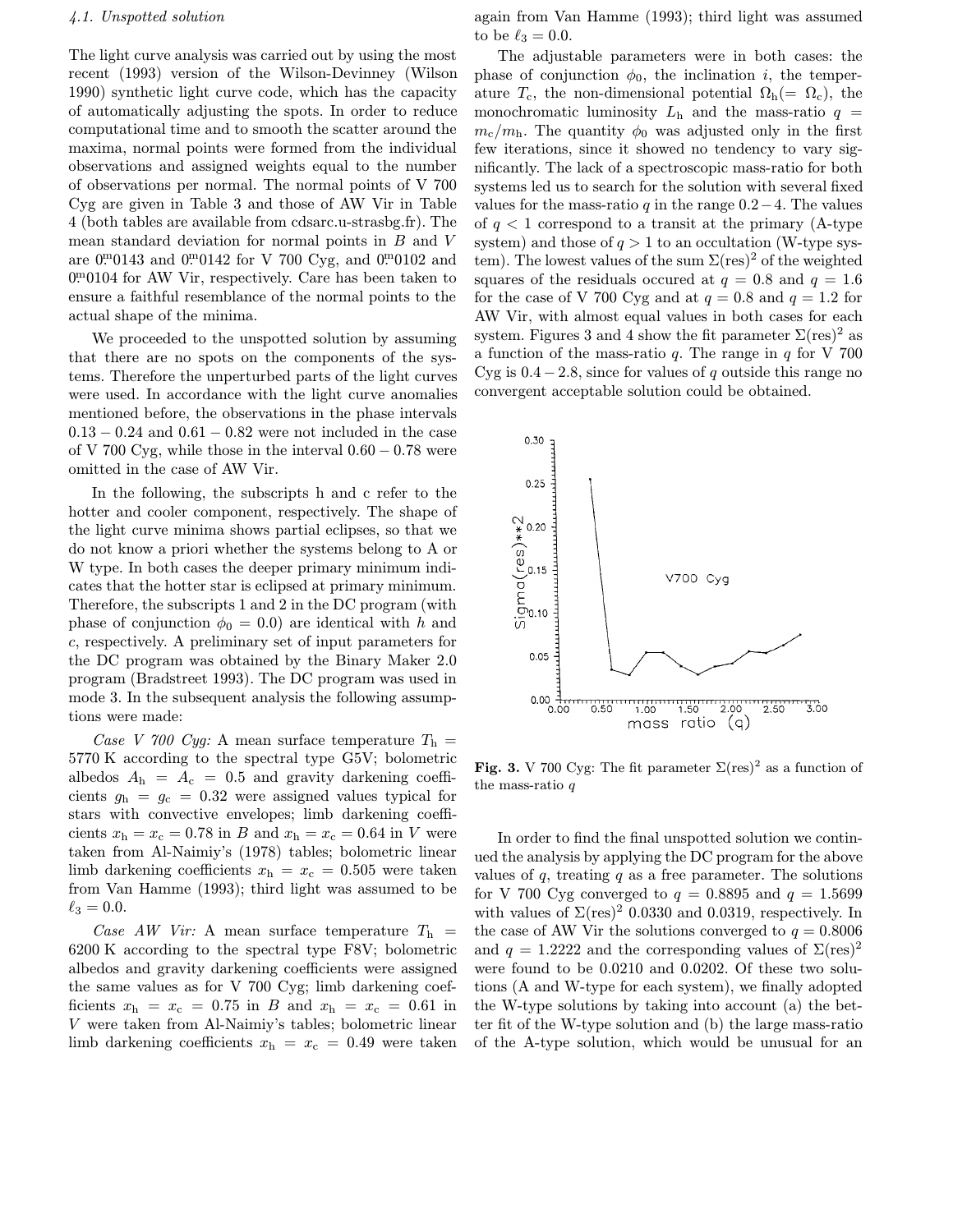## 4.1. Unspotted solution

The light curve analysis was carried out by using the most recent (1993) version of the Wilson-Devinney (Wilson 1990) synthetic light curve code, which has the capacity of automatically adjusting the spots. In order to reduce computational time and to smooth the scatter around the maxima, normal points were formed from the individual observations and assigned weights equal to the number of observations per normal. The normal points of V 700 Cyg are given in Table 3 and those of AW Vir in Table 4 (both tables are available from cdsarc.u-strasbg.fr). The mean standard deviation for normal points in B and V are  $0^{m}0143$  and  $0^{m}0142$  for V 700 Cyg, and  $0^{m}0102$  and 0. <sup>m</sup>0104 for AW Vir, respectively. Care has been taken to ensure a faithful resemblance of the normal points to the actual shape of the minima.

We proceeded to the unspotted solution by assuming that there are no spots on the components of the systems. Therefore the unperturbed parts of the light curves were used. In accordance with the light curve anomalies mentioned before, the observations in the phase intervals  $0.13 - 0.24$  and  $0.61 - 0.82$  were not included in the case of V 700 Cyg, while those in the interval  $0.60 - 0.78$  were omitted in the case of AW Vir.

In the following, the subscripts h and c refer to the hotter and cooler component, respectively. The shape of the light curve minima shows partial eclipses, so that we do not know a priori whether the systems belong to A or W type. In both cases the deeper primary minimum indicates that the hotter star is eclipsed at primary minimum. Therefore, the subscripts 1 and 2 in the DC program (with phase of conjunction  $\phi_0 = 0.0$  are identical with h and c, respectively. A preliminary set of input parameters for the DC program was obtained by the Binary Maker 2.0 program (Bradstreet 1993). The DC program was used in mode 3. In the subsequent analysis the following assumptions were made:

Case V 700 Cyg: A mean surface temperature  $T_h =$ 5770 K according to the spectral type G5V; bolometric albedos  $A_h = A_c = 0.5$  and gravity darkening coefficients  $g_h = g_c = 0.32$  were assigned values typical for stars with convective envelopes; limb darkening coefficients  $x_h = x_c = 0.78$  in B and  $x_h = x_c = 0.64$  in V were taken from Al-Naimiy's (1978) tables; bolometric linear limb darkening coefficients  $x_h = x_c = 0.505$  were taken from Van Hamme (1993); third light was assumed to be  $\ell_3 = 0.0.$ 

Case AW Vir: A mean surface temperature  $T_h$  = 6200 K according to the spectral type F8V; bolometric albedos and gravity darkening coefficients were assigned the same values as for V 700 Cyg; limb darkening coefficients  $x_h = x_c = 0.75$  in B and  $x_h = x_c = 0.61$  in V were taken from Al-Naimiy's tables; bolometric linear limb darkening coefficients  $x_h = x_c = 0.49$  were taken again from Van Hamme (1993); third light was assumed to be  $\ell_3 = 0.0$ .

The adjustable parameters were in both cases: the phase of conjunction  $\phi_0$ , the inclination *i*, the temperature  $T_c$ , the non-dimensional potential  $\Omega_h(=\Omega_c)$ , the monochromatic luminosity  $L<sub>h</sub>$  and the mass-ratio  $q =$  $m_c/m_h$ . The quantity  $\phi_0$  was adjusted only in the first few iterations, since it showed no tendency to vary significantly. The lack of a spectroscopic mass-ratio for both systems led us to search for the solution with several fixed values for the mass-ratio q in the range  $0.2-4$ . The values of  $q < 1$  correspond to a transit at the primary (A-type system) and those of  $q > 1$  to an occultation (W-type system). The lowest values of the sum  $\Sigma$ (res)<sup>2</sup> of the weighted squares of the residuals occurred at  $q = 0.8$  and  $q = 1.6$ for the case of V 700 Cyg and at  $q = 0.8$  and  $q = 1.2$  for AW Vir, with almost equal values in both cases for each system. Figures 3 and 4 show the fit parameter  $\Sigma$ (res)<sup>2</sup> as a function of the mass-ratio  $q$ . The range in  $q$  for V 700 Cyg is  $0.4 - 2.8$ , since for values of q outside this range no convergent acceptable solution could be obtained.



Fig. 3. V 700 Cyg: The fit parameter  $\Sigma$ (res)<sup>2</sup> as a function of the mass-ratio q

In order to find the final unspotted solution we continued the analysis by applying the DC program for the above values of  $q$ , treating  $q$  as a free parameter. The solutions for V 700 Cyg converged to  $q = 0.8895$  and  $q = 1.5699$ with values of  $\Sigma$ (res)<sup>2</sup> 0.0330 and 0.0319, respectively. In the case of AW Vir the solutions converged to  $q = 0.8006$ and  $q = 1.2222$  and the corresponding values of  $\Sigma(\text{res})^2$ were found to be 0.0210 and 0.0202. Of these two solutions (A and W-type for each system), we finally adopted the W-type solutions by taking into account (a) the better fit of the W-type solution and (b) the large mass-ratio of the A-type solution, which would be unusual for an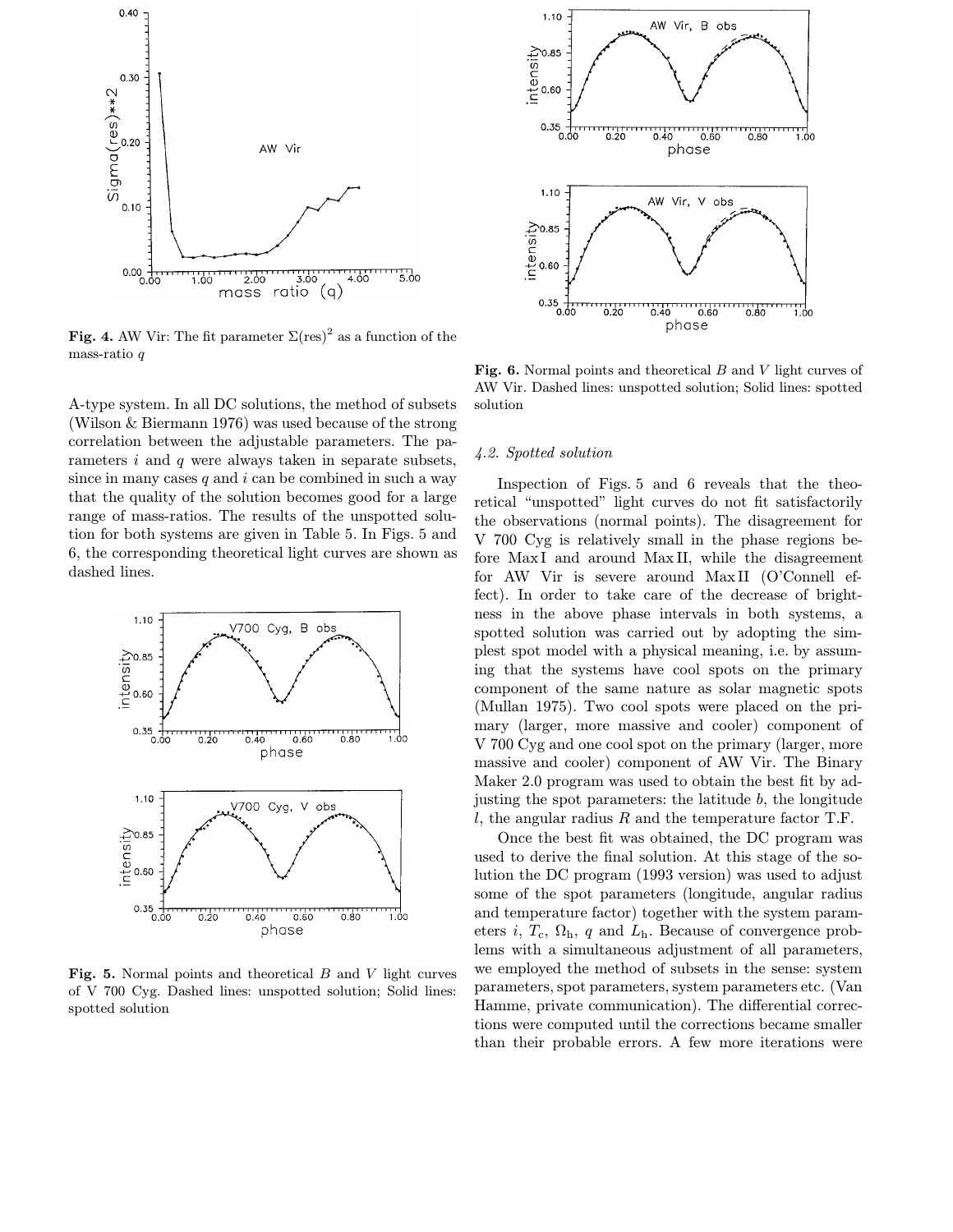

Fig. 4. AW Vir: The fit parameter  $\Sigma$ (res)<sup>2</sup> as a function of the mass-ratio q

A-type system. In all DC solutions, the method of subsets (Wilson & Biermann 1976) was used because of the strong correlation between the adjustable parameters. The parameters  $i$  and  $q$  were always taken in separate subsets, since in many cases  $q$  and  $i$  can be combined in such a way that the quality of the solution becomes good for a large range of mass-ratios. The results of the unspotted solution for both systems are given in Table 5. In Figs. 5 and 6, the corresponding theoretical light curves are shown as dashed lines.



Fig. 5. Normal points and theoretical B and V light curves of V 700 Cyg. Dashed lines: unspotted solution; Solid lines: spotted solution



Fig. 6. Normal points and theoretical  $B$  and  $V$  light curves of AW Vir. Dashed lines: unspotted solution; Solid lines: spotted solution

# 4.2. Spotted solution

Inspection of Figs. 5 and 6 reveals that the theoretical "unspotted" light curves do not fit satisfactorily the observations (normal points). The disagreement for V 700 Cyg is relatively small in the phase regions before MaxI and around Max II, while the disagreement for AW Vir is severe around MaxII (O'Connell effect). In order to take care of the decrease of brightness in the above phase intervals in both systems, a spotted solution was carried out by adopting the simplest spot model with a physical meaning, i.e. by assuming that the systems have cool spots on the primary component of the same nature as solar magnetic spots (Mullan 1975). Two cool spots were placed on the primary (larger, more massive and cooler) component of V 700 Cyg and one cool spot on the primary (larger, more massive and cooler) component of AW Vir. The Binary Maker 2.0 program was used to obtain the best fit by adjusting the spot parameters: the latitude b, the longitude  $l$ , the angular radius  $R$  and the temperature factor T.F.

Once the best fit was obtained, the DC program was used to derive the final solution. At this stage of the solution the DC program (1993 version) was used to adjust some of the spot parameters (longitude, angular radius and temperature factor) together with the system parameters i,  $T_c$ ,  $\Omega_h$ , q and  $L_h$ . Because of convergence problems with a simultaneous adjustment of all parameters, we employed the method of subsets in the sense: system parameters, spot parameters, system parameters etc. (Van Hamme, private communication). The differential corrections were computed until the corrections became smaller than their probable errors. A few more iterations were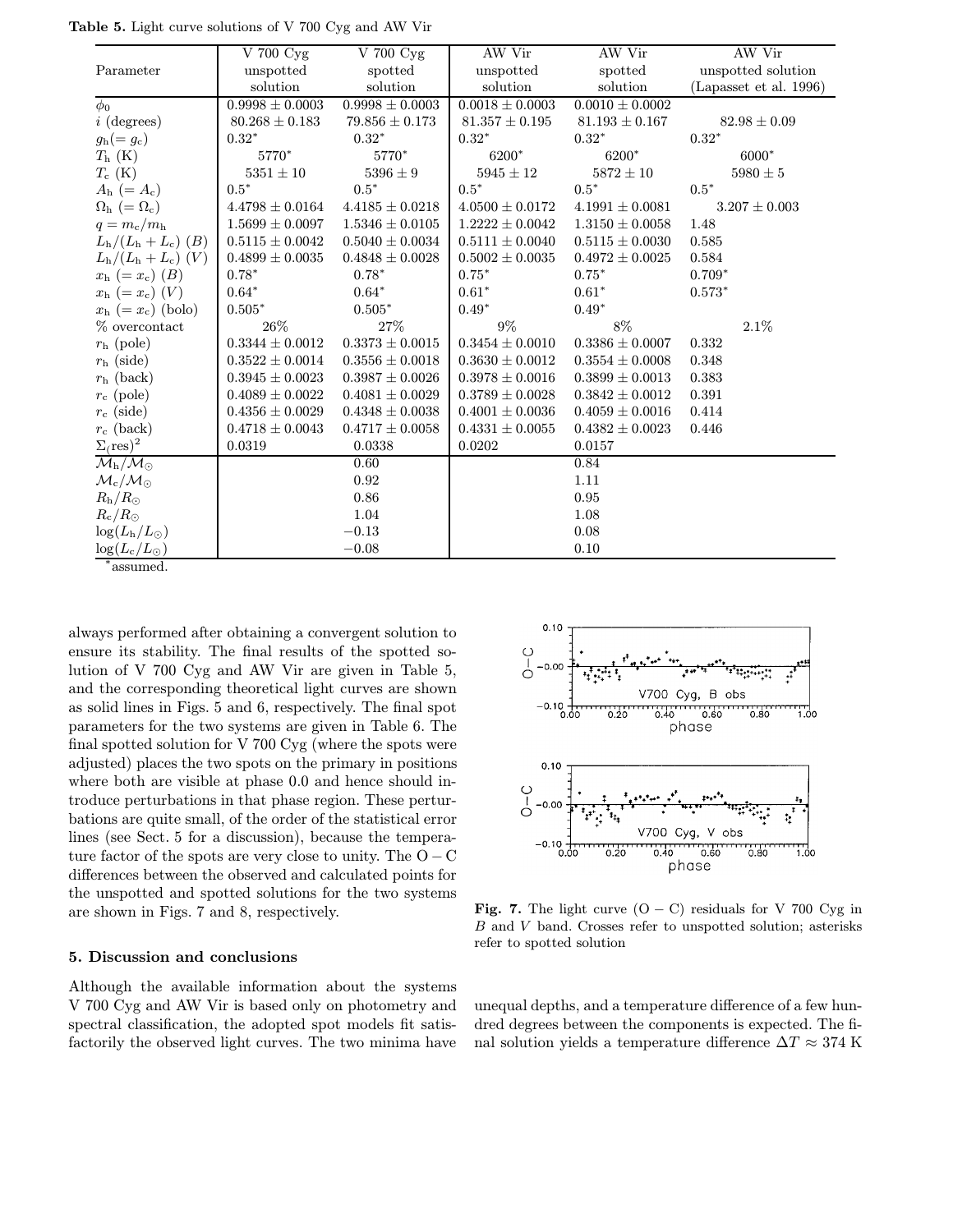|                                                | V 700 Cyg           | V 700 Cyg           | AW Vir              | AW Vir              | AW Vir                 |
|------------------------------------------------|---------------------|---------------------|---------------------|---------------------|------------------------|
| Parameter                                      | unspotted           | spotted             | unspotted           | spotted             | unspotted solution     |
|                                                | solution            | solution            | solution            | solution            | (Lapasset et al. 1996) |
| $\phi_0$                                       | $0.9998 \pm 0.0003$ | $0.9998 \pm 0.0003$ | $0.0018 \pm 0.0003$ | $0.0010 \pm 0.0002$ |                        |
| $i$ (degrees)                                  | $80.268 \pm 0.183$  | $79.856 \pm 0.173$  | $81.357 \pm 0.195$  | $81.193 \pm 0.167$  | $82.98 \pm 0.09$       |
| $g_{\rm h} (= g_{\rm c})$                      | $0.32*$             | $0.32*$             | $0.32*$             | $0.32*$             | $0.32*$                |
| $T_{\rm h}$ (K)                                | 5770*               | 5770*               | 6200*               | 6200*               | 6000*                  |
| $T_c$ (K)                                      | $5351 \pm 10$       | $5396 \pm 9$        | $5945 \pm 12$       | $5872 \pm 10$       | $5980\pm5$             |
| $A_{\rm h}$ (= $A_{\rm c}$ )                   | $0.5*$              | $0.5*$              | $0.5^\ast$          | $0.5*$              | $0.5^\ast$             |
| $\Omega_{\rm h}$ (= $\Omega_{\rm c}$ )         | $4.4798 \pm 0.0164$ | $4.4185 \pm 0.0218$ | $4.0500 \pm 0.0172$ | $4.1991 \pm 0.0081$ | $3.207 \pm 0.003$      |
| $q = m_{\rm c}/m_{\rm h}$                      | $1.5699 \pm 0.0097$ | $1.5346 \pm 0.0105$ | $1.2222 \pm 0.0042$ | $1.3150 \pm 0.0058$ | 1.48                   |
| $L_{\rm h}/(L_{\rm h}+L_{\rm c})$ ( <i>B</i> ) | $0.5115 \pm 0.0042$ | $0.5040 \pm 0.0034$ | $0.5111 \pm 0.0040$ | $0.5115 \pm 0.0030$ | 0.585                  |
| $L_{\rm h}/(L_{\rm h}+L_{\rm c})$ (V)          | $0.4899 \pm 0.0035$ | $0.4848 \pm 0.0028$ | $0.5002 \pm 0.0035$ | $0.4972 \pm 0.0025$ | 0.584                  |
| $x_{\rm h}$ (= $x_{\rm c}$ ) (B)               | $0.78*$             | $0.78*$             | $0.75*$             | $0.75*$             | $0.709*$               |
| $x_{\rm h}$ (= $x_{\rm c}$ ) (V)               | $0.64*$             | $0.64*$             | $0.61*$             | $0.61*$             | $0.573*$               |
| $x_{\rm h}$ (= $x_{\rm c}$ ) (bolo)            | $0.505*$            | $0.505*$            | $0.49*$             | $0.49*$             |                        |
| % overcontact                                  | 26%                 | 27%                 | $9\%$               | 8%                  | 2.1%                   |
| $r_{\rm h}$ (pole)                             | $0.3344 \pm 0.0012$ | $0.3373 \pm 0.0015$ | $0.3454 \pm 0.0010$ | $0.3386 \pm 0.0007$ | 0.332                  |
| $r_{\rm h}$ (side)                             | $0.3522 \pm 0.0014$ | $0.3556 \pm 0.0018$ | $0.3630 \pm 0.0012$ | $0.3554 \pm 0.0008$ | 0.348                  |
| $r_{\rm h}$ (back)                             | $0.3945 \pm 0.0023$ | $0.3987 \pm 0.0026$ | $0.3978 \pm 0.0016$ | $0.3899 \pm 0.0013$ | 0.383                  |
| $r_{\rm c}$ (pole)                             | $0.4089 \pm 0.0022$ | $0.4081 \pm 0.0029$ | $0.3789 \pm 0.0028$ | $0.3842 \pm 0.0012$ | 0.391                  |
| $r_c$ (side)                                   | $0.4356 \pm 0.0029$ | $0.4348 \pm 0.0038$ | $0.4001 \pm 0.0036$ | $0.4059 \pm 0.0016$ | 0.414                  |
| $r_c$ (back)                                   | $0.4718 \pm 0.0043$ | $0.4717 \pm 0.0058$ | $0.4331 \pm 0.0055$ | $0.4382 \pm 0.0023$ | 0.446                  |
| $\Sigma(\text{res})^2$                         | 0.0319              | 0.0338              | 0.0202              | 0.0157              |                        |
| $\mathcal{M}_{\rm h}/\mathcal{M}_{\odot}$      |                     | 0.60                |                     | 0.84                |                        |
| $\mathcal{M}_\mathrm{c}/\mathcal{M}_\odot$     |                     | 0.92                |                     | 1.11                |                        |
| $R_{\rm h}/R_{\odot}$                          |                     | 0.86                |                     | 0.95                |                        |
| $R_{\rm c}/R_{\odot}$                          |                     | 1.04                |                     | 1.08                |                        |
| $\log(L_{\rm h}/L_{\odot})$                    |                     | $-0.13$             |                     | 0.08                |                        |
| $\log(L_c/L_{\odot})$                          |                     | $-0.08$             |                     | 0.10                |                        |

Table 5. Light curve solutions of V 700 Cyg and AW Vir

<sup>∗</sup>assumed.

always performed after obtaining a convergent solution to ensure its stability. The final results of the spotted solution of V 700 Cyg and AW Vir are given in Table 5, and the corresponding theoretical light curves are shown as solid lines in Figs. 5 and 6, respectively. The final spot parameters for the two systems are given in Table 6. The final spotted solution for V 700 Cyg (where the spots were adjusted) places the two spots on the primary in positions where both are visible at phase 0.0 and hence should introduce perturbations in that phase region. These perturbations are quite small, of the order of the statistical error lines (see Sect. 5 for a discussion), because the temperature factor of the spots are very close to unity. The  $O - C$ differences between the observed and calculated points for the unspotted and spotted solutions for the two systems are shown in Figs. 7 and 8, respectively.

# 5. Discussion and conclusions

Although the available information about the systems V 700 Cyg and AW Vir is based only on photometry and spectral classification, the adopted spot models fit satisfactorily the observed light curves. The two minima have



Fig. 7. The light curve  $(O - C)$  residuals for V 700 Cyg in B and V band. Crosses refer to unspotted solution; asterisks refer to spotted solution

unequal depths, and a temperature difference of a few hundred degrees between the components is expected. The final solution yields a temperature difference  $\Delta T \approx 374$  K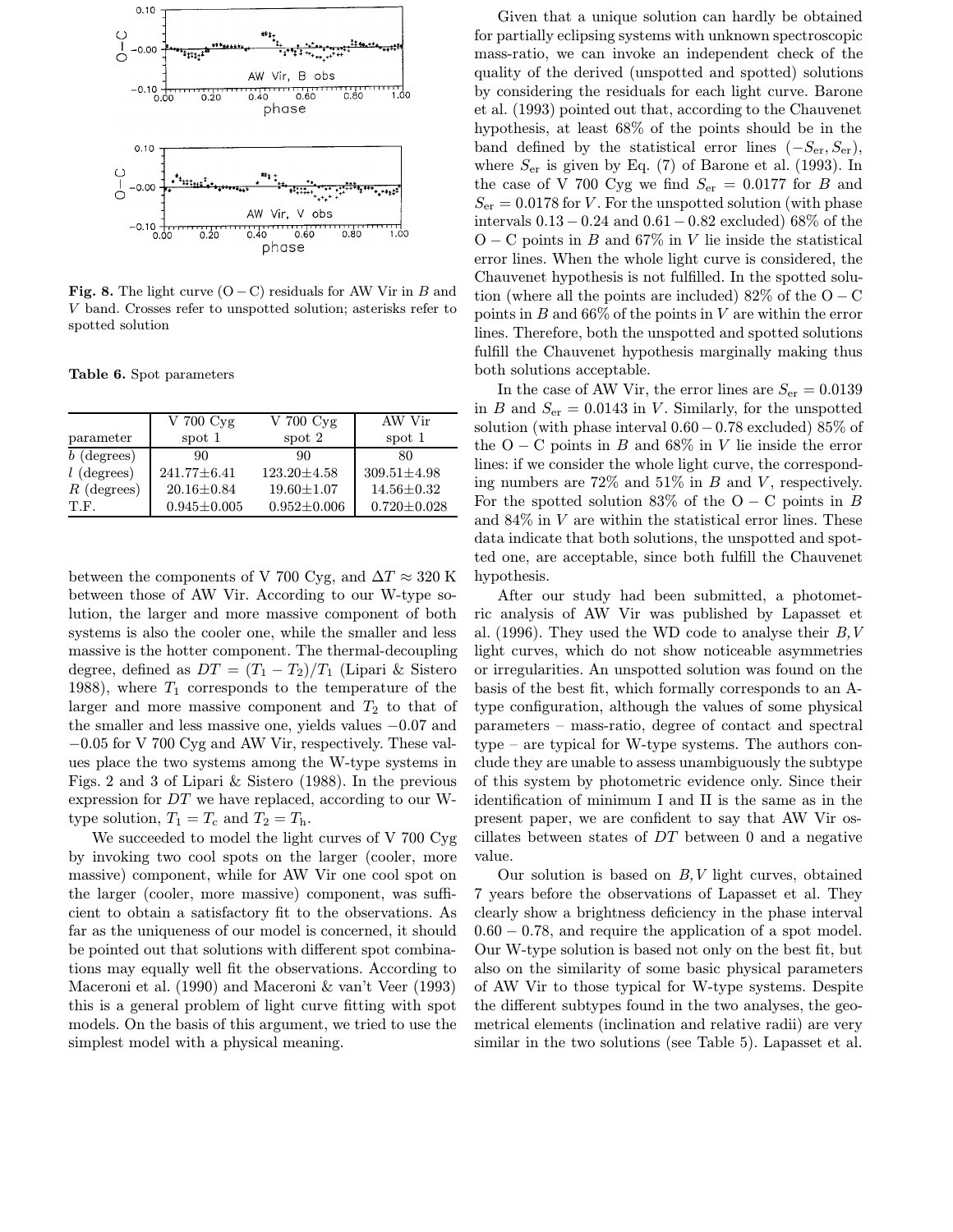

Fig. 8. The light curve  $(O - C)$  residuals for AW Vir in B and V band. Crosses refer to unspotted solution; asterisks refer to spotted solution

Table 6. Spot parameters

|               | $V$ 700 $Cyg$     | V 700 Cyg         | AW Vir            |
|---------------|-------------------|-------------------|-------------------|
| parameter     | spot 1            | spot 2            | spot 1            |
| $b$ (degrees) | 90                | 90                | 80                |
| $l$ (degrees) | $241.77 \pm 6.41$ | $123.20 \pm 4.58$ | $309.51 \pm 4.98$ |
| $R$ (degrees) | $20.16 \pm 0.84$  | $19.60 \pm 1.07$  | $14.56 \pm 0.32$  |
| T.F.          | $0.945 \pm 0.005$ | $0.952 \pm 0.006$ | $0.720 \pm 0.028$ |

between the components of V 700 Cyg, and  $\Delta T \approx 320$  K between those of AW Vir. According to our W-type solution, the larger and more massive component of both systems is also the cooler one, while the smaller and less massive is the hotter component. The thermal-decoupling degree, defined as  $DT = (T_1 - T_2)/T_1$  (Lipari & Sistero 1988), where  $T_1$  corresponds to the temperature of the larger and more massive component and  $T_2$  to that of the smaller and less massive one, yields values −0.07 and −0.05 for V 700 Cyg and AW Vir, respectively. These values place the two systems among the W-type systems in Figs. 2 and 3 of Lipari & Sistero (1988). In the previous expression for DT we have replaced, according to our Wtype solution,  $T_1 = T_c$  and  $T_2 = T_h$ .

We succeeded to model the light curves of V 700 Cyg by invoking two cool spots on the larger (cooler, more massive) component, while for AW Vir one cool spot on the larger (cooler, more massive) component, was sufficient to obtain a satisfactory fit to the observations. As far as the uniqueness of our model is concerned, it should be pointed out that solutions with different spot combinations may equally well fit the observations. According to Maceroni et al. (1990) and Maceroni & van't Veer (1993) this is a general problem of light curve fitting with spot models. On the basis of this argument, we tried to use the simplest model with a physical meaning.

Given that a unique solution can hardly be obtained for partially eclipsing systems with unknown spectroscopic mass-ratio, we can invoke an independent check of the quality of the derived (unspotted and spotted) solutions by considering the residuals for each light curve. Barone et al. (1993) pointed out that, according to the Chauvenet hypothesis, at least 68% of the points should be in the band defined by the statistical error lines  $(-S_{\text{er}}, S_{\text{er}})$ , where  $S_{\text{er}}$  is given by Eq. (7) of Barone et al. (1993). In the case of V 700 Cyg we find  $S_{\text{er}} = 0.0177$  for B and  $S_{\text{er}} = 0.0178$  for V. For the unspotted solution (with phase intervals 0.13 − 0.24 and 0.61 − 0.82 excluded) 68% of the  $O - C$  points in B and 67% in V lie inside the statistical error lines. When the whole light curve is considered, the Chauvenet hypothesis is not fulfilled. In the spotted solution (where all the points are included) 82% of the  $O - C$ points in  $B$  and 66% of the points in  $V$  are within the error lines. Therefore, both the unspotted and spotted solutions fulfill the Chauvenet hypothesis marginally making thus both solutions acceptable.

In the case of AW Vir, the error lines are  $S_{\text{er}} = 0.0139$ in B and  $S_{\text{er}} = 0.0143$  in V. Similarly, for the unspotted solution (with phase interval 0.60−0.78 excluded) 85% of the O – C points in B and 68% in V lie inside the error lines: if we consider the whole light curve, the corresponding numbers are  $72\%$  and  $51\%$  in B and V, respectively. For the spotted solution 83% of the  $O - C$  points in B and  $84\%$  in V are within the statistical error lines. These data indicate that both solutions, the unspotted and spotted one, are acceptable, since both fulfill the Chauvenet hypothesis.

After our study had been submitted, a photometric analysis of AW Vir was published by Lapasset et al. (1996). They used the WD code to analyse their  $B, V$ light curves, which do not show noticeable asymmetries or irregularities. An unspotted solution was found on the basis of the best fit, which formally corresponds to an Atype configuration, although the values of some physical parameters – mass-ratio, degree of contact and spectral type – are typical for W-type systems. The authors conclude they are unable to assess unambiguously the subtype of this system by photometric evidence only. Since their identification of minimum I and II is the same as in the present paper, we are confident to say that AW Vir oscillates between states of DT between 0 and a negative value.

Our solution is based on  $B, V$  light curves, obtained 7 years before the observations of Lapasset et al. They clearly show a brightness deficiency in the phase interval 0.60 − 0.78, and require the application of a spot model. Our W-type solution is based not only on the best fit, but also on the similarity of some basic physical parameters of AW Vir to those typical for W-type systems. Despite the different subtypes found in the two analyses, the geometrical elements (inclination and relative radii) are very similar in the two solutions (see Table 5). Lapasset et al.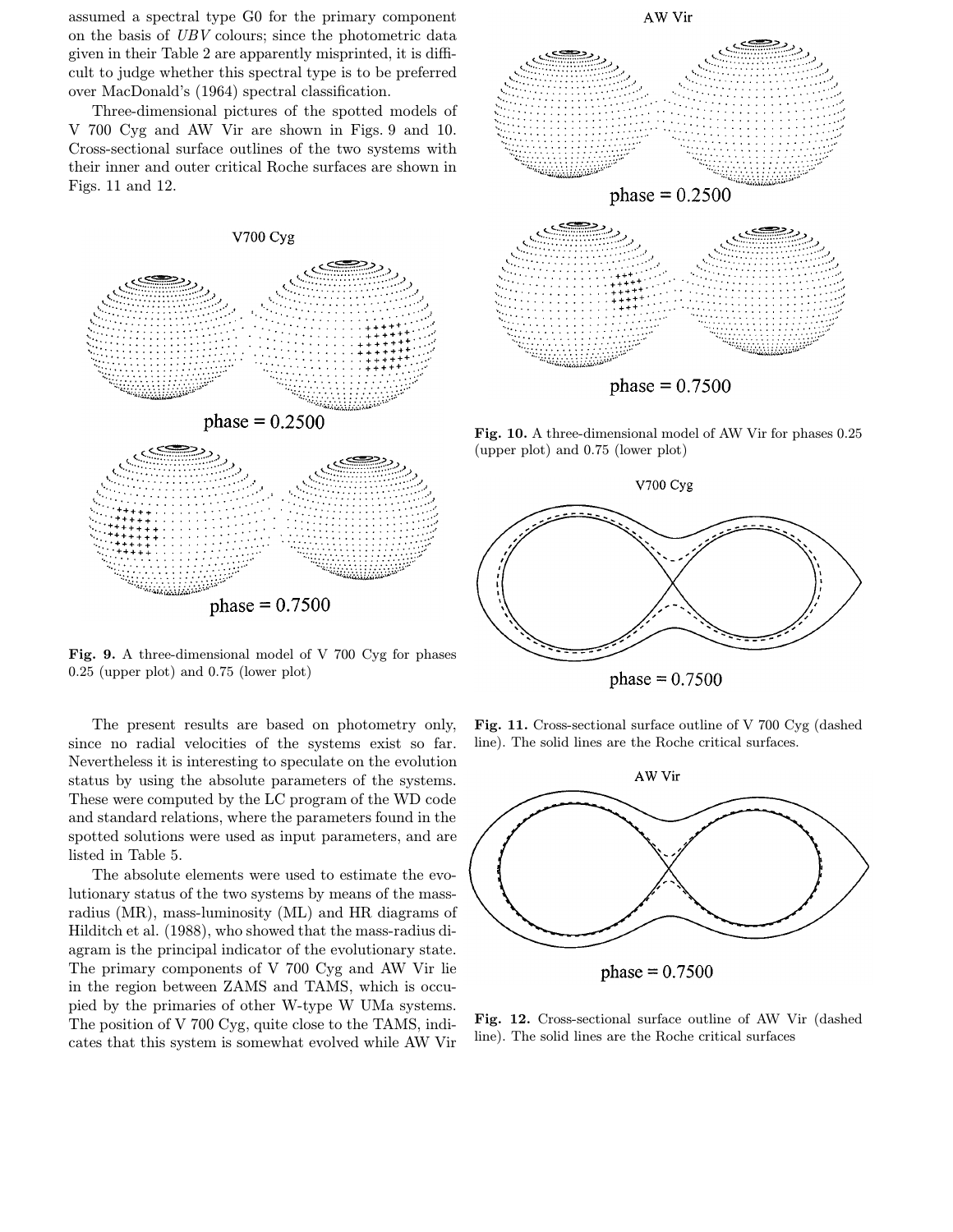assumed a spectral type G0 for the primary component on the basis of UBV colours; since the photometric data given in their Table 2 are apparently misprinted, it is difficult to judge whether this spectral type is to be preferred over MacDonald's (1964) spectral classification.

Three-dimensional pictures of the spotted models of V 700 Cyg and AW Vir are shown in Figs. 9 and 10. Cross-sectional surface outlines of the two systems with their inner and outer critical Roche surfaces are shown in Figs. 11 and 12.



Fig. 9. A three-dimensional model of V 700 Cyg for phases 0.25 (upper plot) and 0.75 (lower plot)

The present results are based on photometry only, since no radial velocities of the systems exist so far. Nevertheless it is interesting to speculate on the evolution status by using the absolute parameters of the systems. These were computed by the LC program of the WD code and standard relations, where the parameters found in the spotted solutions were used as input parameters, and are listed in Table 5.

The absolute elements were used to estimate the evolutionary status of the two systems by means of the massradius (MR), mass-luminosity (ML) and HR diagrams of Hilditch et al. (1988), who showed that the mass-radius diagram is the principal indicator of the evolutionary state. The primary components of V 700 Cyg and AW Vir lie in the region between ZAMS and TAMS, which is occupied by the primaries of other W-type W UMa systems. The position of V 700 Cyg, quite close to the TAMS, indicates that this system is somewhat evolved while AW Vir



Fig. 10. A three-dimensional model of AW Vir for phases 0.25 (upper plot) and 0.75 (lower plot)



phase =  $0.7500$ 

Fig. 11. Cross-sectional surface outline of V 700 Cyg (dashed line). The solid lines are the Roche critical surfaces.



phase =  $0.7500$ 

Fig. 12. Cross-sectional surface outline of AW Vir (dashed line). The solid lines are the Roche critical surfaces